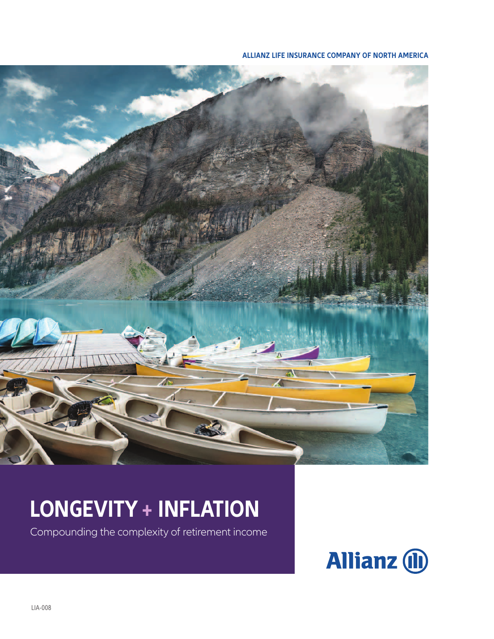#### **ALLIANZ LIFE INSURANCE COMPANY OF NORTH AMERICA**



# **LONGEVITY + INFLATION**

Compounding the complexity of retirement income

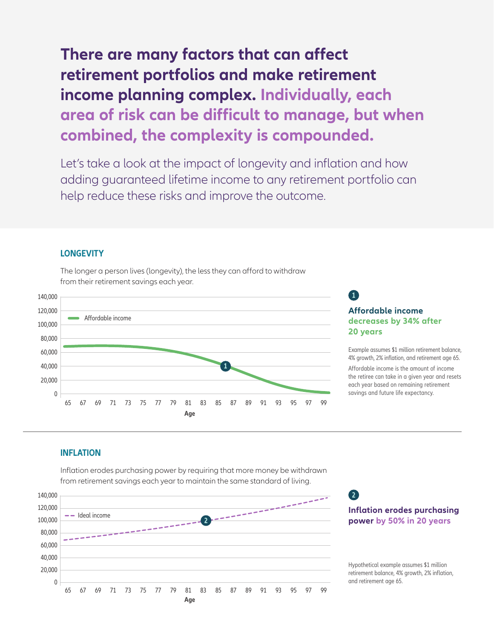### **There are many factors that can affect retirement portfolios and make retirement income planning complex. Individually, each area of risk can be difficult to manage, but when combined, the complexity is compounded.**

Let's take a look at the impact of longevity and inflation and how adding guaranteed lifetime income to any retirement portfolio can help reduce these risks and improve the outcome.

#### **LONGEVITY**

The longer a person lives (longevity), the less they can afford to withdraw from their retirement savings each year.



#### **Affordable income decreases by 34% after 20 years**

**1**

**2**

Example assumes \$1 million retirement balance, 4% growth, 2% inflation, and retirement age 65. Affordable income is the amount of income the retiree can take in a given year and resets each year based on remaining retirement savings and future life expectancy.

#### **INFLATION**

Inflation erodes purchasing power by requiring that more money be withdrawn from retirement savings each year to maintain the same standard of living.



**Inflation erodes purchasing power by 50% in 20 years**

Hypothetical example assumes \$1 million retirement balance, 4% growth, 2% inflation, and retirement age 65.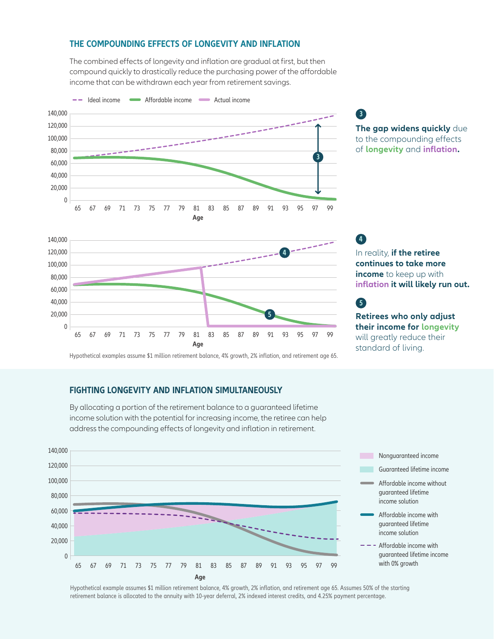#### **THE COMPOUNDING EFFECTS OF LONGEVITY AND INFLATION**

The combined effects of longevity and inflation are gradual at first, but then compound quickly to drastically reduce the purchasing power of the affordable income that can be withdrawn each year from retirement savings.



**The gap widens quickly** due to the compounding effects of **longevity** and **inflation. 3**

In reality, **if the retiree continues to take more income** to keep up with

**4**

**5**

**inflation it will likely run out.**

**Retirees who only adjust their income for longevity** will greatly reduce their standard of living.



Hypothetical examples assume \$1 million retirement balance, 4% growth, 2% inflation, and retirement age 65.

#### **FIGHTING LONGEVITY AND INFLATION SIMULTANEOUSLY**

By allocating a portion of the retirement balance to a guaranteed lifetime income solution with the potential for increasing income, the retiree can help address the compounding effects of longevity and inflation in retirement.



Hypothetical example assumes \$1 million retirement balance, 4% growth, 2% inflation, and retirement age 65. Assumes 50% of the starting retirement balance is allocated to the annuity with 10-year deferral, 2% indexed interest credits, and 4.25% payment percentage.